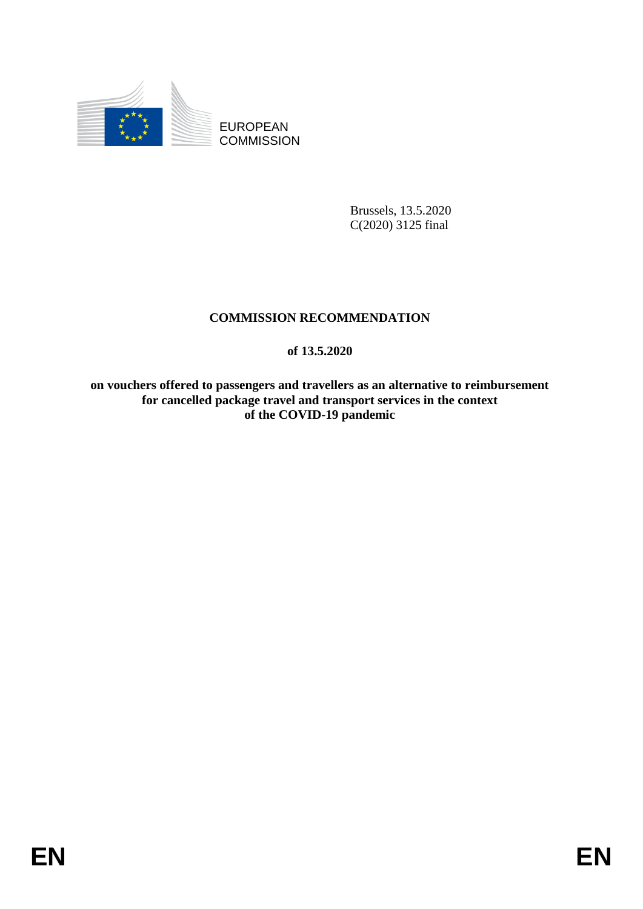

EUROPEAN **COMMISSION** 

> Brussels, 13.5.2020 C(2020) 3125 final

# **COMMISSION RECOMMENDATION**

# **of 13.5.2020**

**on vouchers offered to passengers and travellers as an alternative to reimbursement for cancelled package travel and transport services in the context of the COVID-19 pandemic**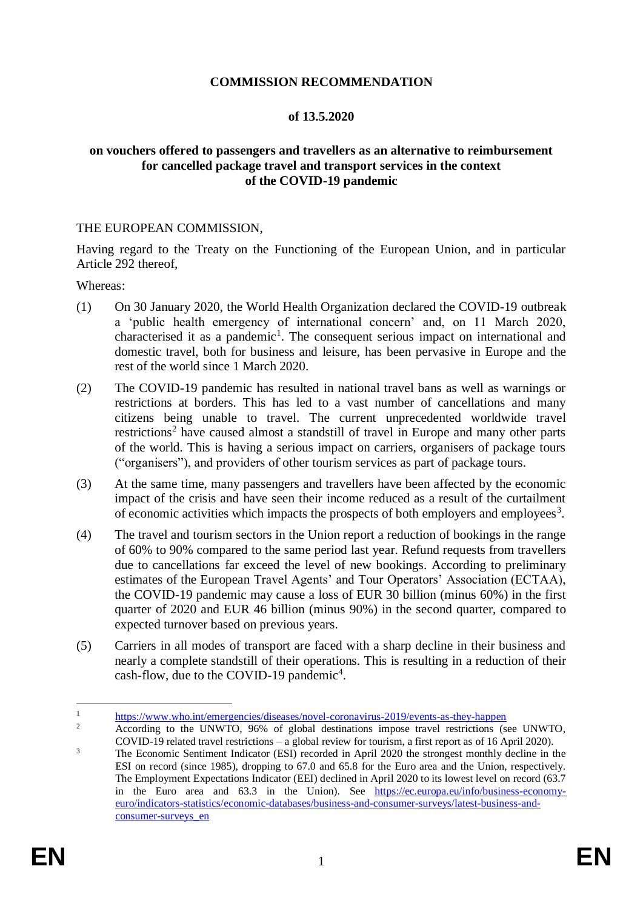### **COMMISSION RECOMMENDATION**

#### **of 13.5.2020**

## **on vouchers offered to passengers and travellers as an alternative to reimbursement for cancelled package travel and transport services in the context of the COVID-19 pandemic**

#### THE EUROPEAN COMMISSION,

Having regard to the Treaty on the Functioning of the European Union, and in particular Article 292 thereof,

Whereas:

- (1) On 30 January 2020, the World Health Organization declared the COVID-19 outbreak a 'public health emergency of international concern' and, on 11 March 2020, characterised it as a pandemic<sup>1</sup>. The consequent serious impact on international and domestic travel, both for business and leisure, has been pervasive in Europe and the rest of the world since 1 March 2020.
- (2) The COVID-19 pandemic has resulted in national travel bans as well as warnings or restrictions at borders. This has led to a vast number of cancellations and many citizens being unable to travel. The current unprecedented worldwide travel restrictions<sup>2</sup> have caused almost a standstill of travel in Europe and many other parts of the world. This is having a serious impact on carriers, organisers of package tours ("organisers"), and providers of other tourism services as part of package tours.
- (3) At the same time, many passengers and travellers have been affected by the economic impact of the crisis and have seen their income reduced as a result of the curtailment of economic activities which impacts the prospects of both employers and employees<sup>3</sup>.
- (4) The travel and tourism sectors in the Union report a reduction of bookings in the range of 60% to 90% compared to the same period last year. Refund requests from travellers due to cancellations far exceed the level of new bookings. According to preliminary estimates of the European Travel Agents' and Tour Operators' Association (ECTAA), the COVID-19 pandemic may cause a loss of EUR 30 billion (minus 60%) in the first quarter of 2020 and EUR 46 billion (minus 90%) in the second quarter, compared to expected turnover based on previous years.
- (5) Carriers in all modes of transport are faced with a sharp decline in their business and nearly a complete standstill of their operations. This is resulting in a reduction of their cash-flow, due to the COVID-19 pandemic<sup>4</sup>.

 $\mathbf{1}$ <sup>1</sup> <https://www.who.int/emergencies/diseases/novel-coronavirus-2019/events-as-they-happen><br><sup>2</sup> According to the UNWTO 06% of algebral destinations impose travel matrixisms (or

<sup>2</sup> According to the UNWTO, 96% of global destinations impose travel restrictions (see UNWTO, COVID-19 related travel restrictions – a global review for tourism, a first report as of 16 April 2020).

<sup>&</sup>lt;sup>3</sup> The Economic Sentiment Indicator (ESI) recorded in April 2020 the strongest monthly decline in the ESI on record (since 1985), dropping to 67.0 and 65.8 for the Euro area and the Union, respectively. The Employment Expectations Indicator (EEI) declined in April 2020 to its lowest level on record (63.7 in the Euro area and 63.3 in the Union). See [https://ec.europa.eu/info/business-economy](https://ec.europa.eu/info/business-economy-euro/indicators-statistics/economic-databases/business-and-consumer-surveys/latest-business-and-consumer-surveys_en)[euro/indicators-statistics/economic-databases/business-and-consumer-surveys/latest-business-and](https://ec.europa.eu/info/business-economy-euro/indicators-statistics/economic-databases/business-and-consumer-surveys/latest-business-and-consumer-surveys_en)[consumer-surveys\\_en](https://ec.europa.eu/info/business-economy-euro/indicators-statistics/economic-databases/business-and-consumer-surveys/latest-business-and-consumer-surveys_en)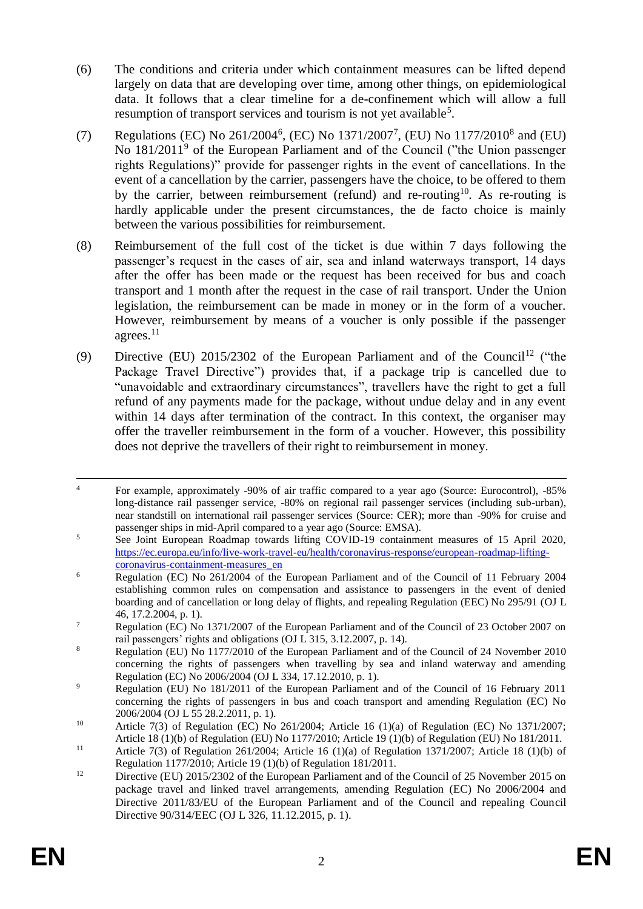- (6) The conditions and criteria under which containment measures can be lifted depend largely on data that are developing over time, among other things, on epidemiological data. It follows that a clear timeline for a de-confinement which will allow a full resumption of transport services and tourism is not yet available<sup>5</sup>.
- (7) Regulations (EC) No  $261/2004^6$ , (EC) No  $1371/2007^7$ , (EU) No  $1177/2010^8$  and (EU) No 181/2011<sup>9</sup> of the European Parliament and of the Council ("the Union passenger rights Regulations)" provide for passenger rights in the event of cancellations. In the event of a cancellation by the carrier, passengers have the choice, to be offered to them by the carrier, between reimbursement (refund) and re-routing<sup>10</sup>. As re-routing is hardly applicable under the present circumstances, the de facto choice is mainly between the various possibilities for reimbursement.
- (8) Reimbursement of the full cost of the ticket is due within 7 days following the passenger's request in the cases of air, sea and inland waterways transport, 14 days after the offer has been made or the request has been received for bus and coach transport and 1 month after the request in the case of rail transport. Under the Union legislation, the reimbursement can be made in money or in the form of a voucher. However, reimbursement by means of a voucher is only possible if the passenger agrees. $11$
- (9) Directive (EU)  $2015/2302$  of the European Parliament and of the Council<sup>12</sup> ("the Package Travel Directive") provides that, if a package trip is cancelled due to "unavoidable and extraordinary circumstances", travellers have the right to get a full refund of any payments made for the package, without undue delay and in any event within 14 days after termination of the contract. In this context, the organiser may offer the traveller reimbursement in the form of a voucher. However, this possibility does not deprive the travellers of their right to reimbursement in money.

 $\overline{a}$ <sup>4</sup> For example, approximately -90% of air traffic compared to a year ago (Source: Eurocontrol), -85% long-distance rail passenger service, -80% on regional rail passenger services (including sub-urban), near standstill on international rail passenger services (Source: CER); more than -90% for cruise and passenger ships in mid-April compared to a year ago (Source: EMSA).

<sup>&</sup>lt;sup>5</sup> See Joint European Roadmap towards lifting COVID-19 containment measures of 15 April 2020, [https://ec.europa.eu/info/live-work-travel-eu/health/coronavirus-response/european-roadmap-lifting](https://ec.europa.eu/info/live-work-travel-eu/health/coronavirus-response/european-roadmap-lifting-coronavirus-containment-measures_en)[coronavirus-containment-measures\\_en](https://ec.europa.eu/info/live-work-travel-eu/health/coronavirus-response/european-roadmap-lifting-coronavirus-containment-measures_en)

<sup>&</sup>lt;sup>6</sup> Regulation (EC) No 261/2004 of the European Parliament and of the Council of 11 February 2004 establishing common rules on compensation and assistance to passengers in the event of denied boarding and of cancellation or long delay of flights, and repealing Regulation (EEC) No 295/91 (OJ L 46, 17.2.2004, p. 1).

<sup>&</sup>lt;sup>7</sup> Regulation (EC) No 1371/2007 of the European Parliament and of the Council of 23 October 2007 on rail passengers' rights and obligations (OJ L 315, 3.12.2007, p. 14).

<sup>8</sup> Regulation (EU) No 1177/2010 of the European Parliament and of the Council of 24 November 2010 concerning the rights of passengers when travelling by sea and inland waterway and amending Regulation (EC) No 2006/2004 (OJ L 334, 17.12.2010, p. 1).

<sup>&</sup>lt;sup>9</sup> Regulation (EU) No 181/2011 of the European Parliament and of the Council of 16 February 2011 concerning the rights of passengers in bus and coach transport and amending Regulation (EC) No 2006/2004 (OJ L 55 28.2.2011, p. 1).

<sup>&</sup>lt;sup>10</sup> Article 7(3) of Regulation (EC) No 261/2004; Article 16 (1)(a) of Regulation (EC) No 1371/2007; Article 18 (1)(b) of Regulation (EU) No 1177/2010; Article 19 (1)(b) of Regulation (EU) No 181/2011.

<sup>&</sup>lt;sup>11</sup> Article 7(3) of Regulation 261/2004; Article 16 (1)(a) of Regulation 1371/2007; Article 18 (1)(b) of Regulation 1177/2010; Article 19 (1)(b) of Regulation 181/2011.

<sup>&</sup>lt;sup>12</sup> Directive (EU) 2015/2302 of the European Parliament and of the Council of 25 November 2015 on package travel and linked travel arrangements, amending Regulation (EC) No 2006/2004 and Directive 2011/83/EU of the European Parliament and of the Council and repealing Council Directive 90/314/EEC (OJ L 326, 11.12.2015, p. 1).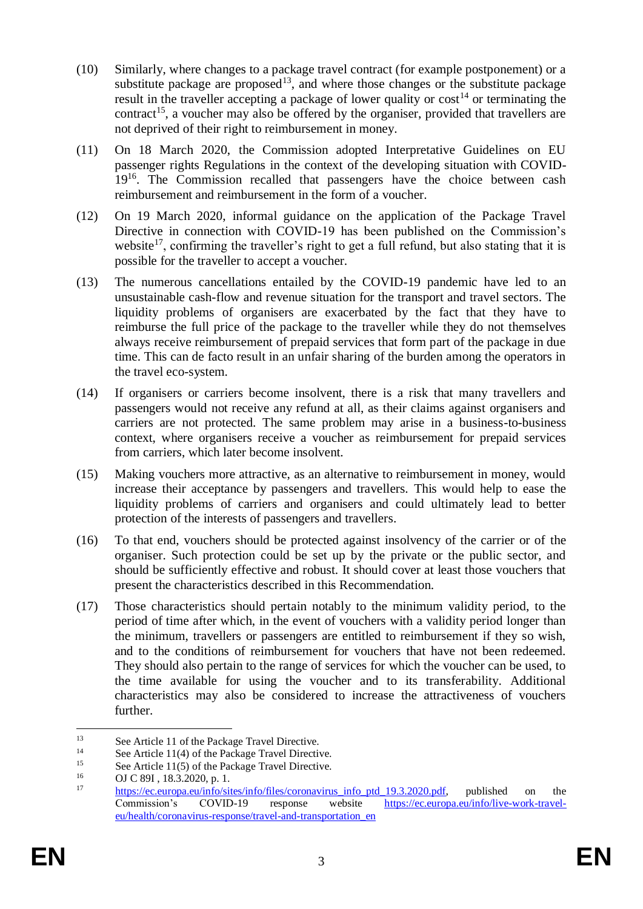- (10) Similarly, where changes to a package travel contract (for example postponement) or a substitute package are proposed<sup>13</sup>, and where those changes or the substitute package result in the traveller accepting a package of lower quality or  $\cos t^{14}$  or terminating the contract<sup>15</sup>, a voucher may also be offered by the organiser, provided that travellers are not deprived of their right to reimbursement in money.
- (11) On 18 March 2020, the Commission adopted Interpretative Guidelines on EU passenger rights Regulations in the context of the developing situation with COVID-19<sup>16</sup>. The Commission recalled that passengers have the choice between cash reimbursement and reimbursement in the form of a voucher.
- (12) On 19 March 2020, informal guidance on the application of the Package Travel Directive in connection with COVID-19 has been published on the Commission's website<sup>17</sup>, confirming the traveller's right to get a full refund, but also stating that it is possible for the traveller to accept a voucher.
- (13) The numerous cancellations entailed by the COVID-19 pandemic have led to an unsustainable cash-flow and revenue situation for the transport and travel sectors. The liquidity problems of organisers are exacerbated by the fact that they have to reimburse the full price of the package to the traveller while they do not themselves always receive reimbursement of prepaid services that form part of the package in due time. This can de facto result in an unfair sharing of the burden among the operators in the travel eco-system.
- (14) If organisers or carriers become insolvent, there is a risk that many travellers and passengers would not receive any refund at all, as their claims against organisers and carriers are not protected. The same problem may arise in a business-to-business context, where organisers receive a voucher as reimbursement for prepaid services from carriers, which later become insolvent.
- (15) Making vouchers more attractive, as an alternative to reimbursement in money, would increase their acceptance by passengers and travellers. This would help to ease the liquidity problems of carriers and organisers and could ultimately lead to better protection of the interests of passengers and travellers.
- (16) To that end, vouchers should be protected against insolvency of the carrier or of the organiser. Such protection could be set up by the private or the public sector, and should be sufficiently effective and robust. It should cover at least those vouchers that present the characteristics described in this Recommendation.
- (17) Those characteristics should pertain notably to the minimum validity period, to the period of time after which, in the event of vouchers with a validity period longer than the minimum, travellers or passengers are entitled to reimbursement if they so wish, and to the conditions of reimbursement for vouchers that have not been redeemed. They should also pertain to the range of services for which the voucher can be used, to the time available for using the voucher and to its transferability. Additional characteristics may also be considered to increase the attractiveness of vouchers further.

 $\overline{a}$ <sup>13</sup> See Article 11 of the Package Travel Directive.<br><sup>14</sup> See Article 11(4) of the Package Travel Directive.

<sup>&</sup>lt;sup>14</sup> See Article 11(4) of the Package Travel Directive.<br><sup>15</sup> See Article 11(5) of the Package Travel Directive.

<sup>&</sup>lt;sup>15</sup> See Article 11(5) of the Package Travel Directive.<br> $\frac{16}{16}$  OLC 80L 18.3.2020 p. 1

<sup>&</sup>lt;sup>16</sup> OJ C 89I, 18.3.2020, p. 1.<br><sup>17</sup> https://so.surgeo.su/info/site

[https://ec.europa.eu/info/sites/info/files/coronavirus\\_info\\_ptd\\_19.3.2020.pdf,](https://ec.europa.eu/info/sites/info/files/coronavirus_info_ptd_19.3.2020.pdf) published on the<br>Commission's COVID-19 response website https://ec.europa.eu/info/live-work-travel-Commission's COVID-19 response website [https://ec.europa.eu/info/live-work-travel](https://ec.europa.eu/info/live-work-travel-eu/health/coronavirus-response/travel-and-transportation_en)[eu/health/coronavirus-response/travel-and-transportation\\_en](https://ec.europa.eu/info/live-work-travel-eu/health/coronavirus-response/travel-and-transportation_en)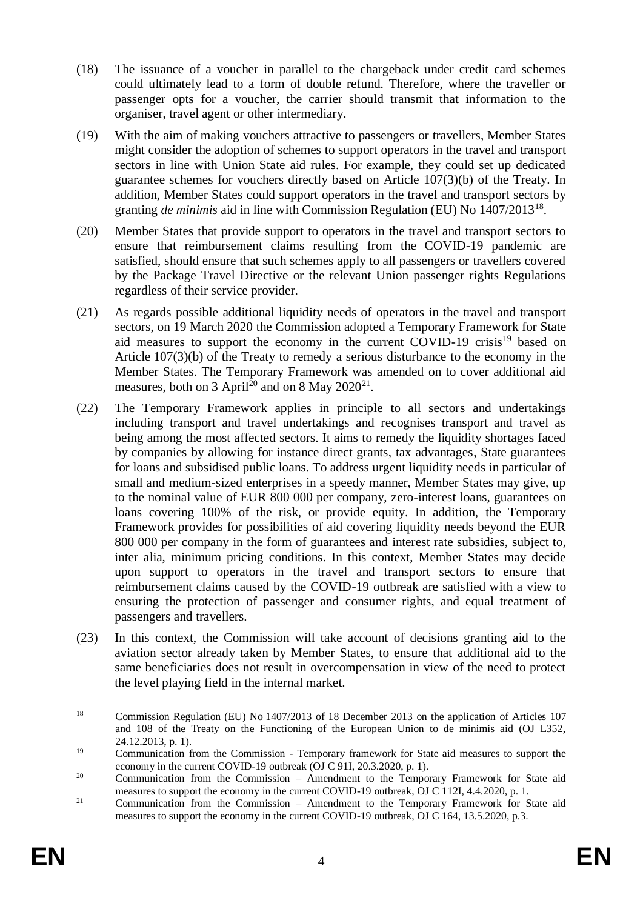- (18) The issuance of a voucher in parallel to the chargeback under credit card schemes could ultimately lead to a form of double refund. Therefore, where the traveller or passenger opts for a voucher, the carrier should transmit that information to the organiser, travel agent or other intermediary.
- (19) With the aim of making vouchers attractive to passengers or travellers, Member States might consider the adoption of schemes to support operators in the travel and transport sectors in line with Union State aid rules. For example, they could set up dedicated guarantee schemes for vouchers directly based on Article 107(3)(b) of the Treaty. In addition, Member States could support operators in the travel and transport sectors by granting *de minimis* aid in line with Commission Regulation (EU) No 1407/2013<sup>18</sup>.
- (20) Member States that provide support to operators in the travel and transport sectors to ensure that reimbursement claims resulting from the COVID-19 pandemic are satisfied, should ensure that such schemes apply to all passengers or travellers covered by the Package Travel Directive or the relevant Union passenger rights Regulations regardless of their service provider.
- (21) As regards possible additional liquidity needs of operators in the travel and transport sectors, on 19 March 2020 the Commission adopted a Temporary Framework for State aid measures to support the economy in the current COVID-19 crisis<sup>19</sup> based on Article 107(3)(b) of the Treaty to remedy a serious disturbance to the economy in the Member States. The Temporary Framework was amended on to cover additional aid measures, both on 3 April<sup>20</sup> and on 8 May  $2020^{21}$ .
- (22) The Temporary Framework applies in principle to all sectors and undertakings including transport and travel undertakings and recognises transport and travel as being among the most affected sectors. It aims to remedy the liquidity shortages faced by companies by allowing for instance direct grants, tax advantages, State guarantees for loans and subsidised public loans. To address urgent liquidity needs in particular of small and medium-sized enterprises in a speedy manner, Member States may give, up to the nominal value of EUR 800 000 per company, zero-interest loans, guarantees on loans covering 100% of the risk, or provide equity. In addition, the Temporary Framework provides for possibilities of aid covering liquidity needs beyond the EUR 800 000 per company in the form of guarantees and interest rate subsidies, subject to, inter alia, minimum pricing conditions. In this context, Member States may decide upon support to operators in the travel and transport sectors to ensure that reimbursement claims caused by the COVID-19 outbreak are satisfied with a view to ensuring the protection of passenger and consumer rights, and equal treatment of passengers and travellers.
- (23) In this context, the Commission will take account of decisions granting aid to the aviation sector already taken by Member States, to ensure that additional aid to the same beneficiaries does not result in overcompensation in view of the need to protect the level playing field in the internal market.

<sup>18</sup> <sup>18</sup> Commission Regulation (EU) No 1407/2013 of 18 December 2013 on the application of Articles 107 and 108 of the Treaty on the Functioning of the European Union to de minimis aid (OJ L352, 24.12.2013, p. 1).

<sup>&</sup>lt;sup>19</sup> Communication from the Commission - Temporary framework for State aid measures to support the economy in the current COVID-19 outbreak (OJ C 91I, 20.3.2020, p. 1).

<sup>&</sup>lt;sup>20</sup> Communication from the Commission – Amendment to the Temporary Framework for State aid measures to support the economy in the current COVID-19 outbreak, OJ C 112I, 4.4.2020, p. 1.

<sup>&</sup>lt;sup>21</sup> Communication from the Commission – Amendment to the Temporary Framework for State aid measures to support the economy in the current COVID-19 outbreak, OJ C 164, 13.5.2020, p.3.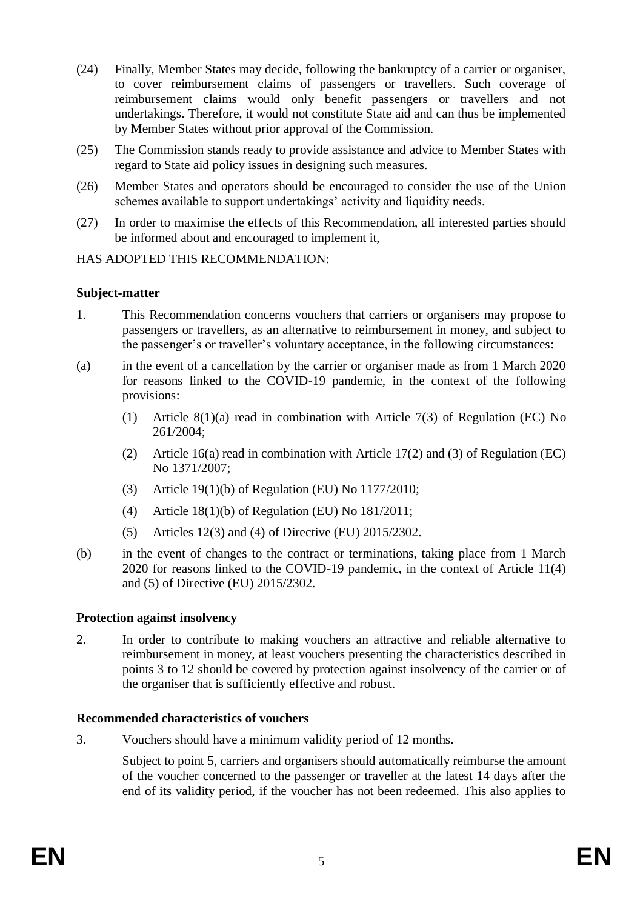- (24) Finally, Member States may decide, following the bankruptcy of a carrier or organiser, to cover reimbursement claims of passengers or travellers. Such coverage of reimbursement claims would only benefit passengers or travellers and not undertakings. Therefore, it would not constitute State aid and can thus be implemented by Member States without prior approval of the Commission.
- (25) The Commission stands ready to provide assistance and advice to Member States with regard to State aid policy issues in designing such measures.
- (26) Member States and operators should be encouraged to consider the use of the Union schemes available to support undertakings' activity and liquidity needs.
- (27) In order to maximise the effects of this Recommendation, all interested parties should be informed about and encouraged to implement it,

## HAS ADOPTED THIS RECOMMENDATION:

## **Subject-matter**

- 1. This Recommendation concerns vouchers that carriers or organisers may propose to passengers or travellers, as an alternative to reimbursement in money, and subject to the passenger's or traveller's voluntary acceptance, in the following circumstances:
- (a) in the event of a cancellation by the carrier or organiser made as from 1 March 2020 for reasons linked to the COVID-19 pandemic, in the context of the following provisions:
	- (1) Article 8(1)(a) read in combination with Article 7(3) of Regulation (EC) No 261/2004;
	- (2) Article 16(a) read in combination with Article 17(2) and (3) of Regulation (EC) No 1371/2007;
	- (3) Article 19(1)(b) of Regulation (EU) No 1177/2010;
	- (4) Article 18(1)(b) of Regulation (EU) No 181/2011;
	- (5) Articles 12(3) and (4) of Directive (EU) 2015/2302.
- (b) in the event of changes to the contract or terminations, taking place from 1 March 2020 for reasons linked to the COVID-19 pandemic, in the context of Article 11(4) and (5) of Directive (EU) 2015/2302.

#### **Protection against insolvency**

2. In order to contribute to making vouchers an attractive and reliable alternative to reimbursement in money, at least vouchers presenting the characteristics described in points 3 to 12 should be covered by protection against insolvency of the carrier or of the organiser that is sufficiently effective and robust.

#### **Recommended characteristics of vouchers**

3. Vouchers should have a minimum validity period of 12 months.

Subject to point 5, carriers and organisers should automatically reimburse the amount of the voucher concerned to the passenger or traveller at the latest 14 days after the end of its validity period, if the voucher has not been redeemed. This also applies to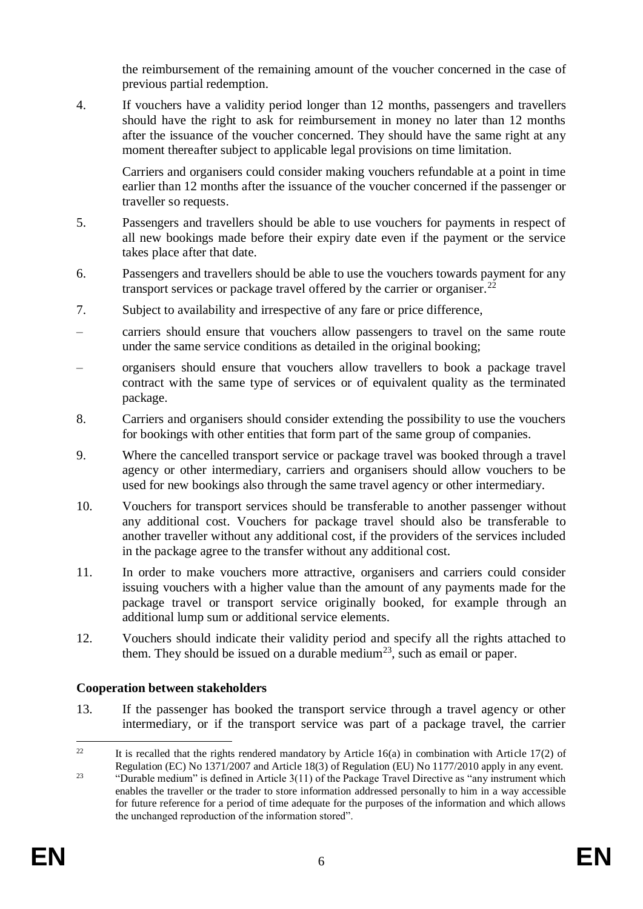the reimbursement of the remaining amount of the voucher concerned in the case of previous partial redemption.

4. If vouchers have a validity period longer than 12 months, passengers and travellers should have the right to ask for reimbursement in money no later than 12 months after the issuance of the voucher concerned. They should have the same right at any moment thereafter subject to applicable legal provisions on time limitation.

Carriers and organisers could consider making vouchers refundable at a point in time earlier than 12 months after the issuance of the voucher concerned if the passenger or traveller so requests.

- 5. Passengers and travellers should be able to use vouchers for payments in respect of all new bookings made before their expiry date even if the payment or the service takes place after that date.
- 6. Passengers and travellers should be able to use the vouchers towards payment for any transport services or package travel offered by the carrier or organiser.<sup>22</sup>
- 7. Subject to availability and irrespective of any fare or price difference,
- carriers should ensure that vouchers allow passengers to travel on the same route under the same service conditions as detailed in the original booking;
- organisers should ensure that vouchers allow travellers to book a package travel contract with the same type of services or of equivalent quality as the terminated package.
- 8. Carriers and organisers should consider extending the possibility to use the vouchers for bookings with other entities that form part of the same group of companies.
- 9. Where the cancelled transport service or package travel was booked through a travel agency or other intermediary, carriers and organisers should allow vouchers to be used for new bookings also through the same travel agency or other intermediary.
- 10. Vouchers for transport services should be transferable to another passenger without any additional cost. Vouchers for package travel should also be transferable to another traveller without any additional cost, if the providers of the services included in the package agree to the transfer without any additional cost.
- 11. In order to make vouchers more attractive, organisers and carriers could consider issuing vouchers with a higher value than the amount of any payments made for the package travel or transport service originally booked, for example through an additional lump sum or additional service elements.
- 12. Vouchers should indicate their validity period and specify all the rights attached to them. They should be issued on a durable medium<sup>23</sup>, such as email or paper.

# **Cooperation between stakeholders**

13. If the passenger has booked the transport service through a travel agency or other intermediary, or if the transport service was part of a package travel, the carrier

 $22$ It is recalled that the rights rendered mandatory by Article  $16(a)$  in combination with Article  $17(2)$  of Regulation (EC) No 1371/2007 and Article 18(3) of Regulation (EU) No 1177/2010 apply in any event.

<sup>&</sup>lt;sup>23</sup> "Durable medium" is defined in Article  $3(11)$  of the Package Travel Directive as "any instrument which enables the traveller or the trader to store information addressed personally to him in a way accessible for future reference for a period of time adequate for the purposes of the information and which allows the unchanged reproduction of the information stored".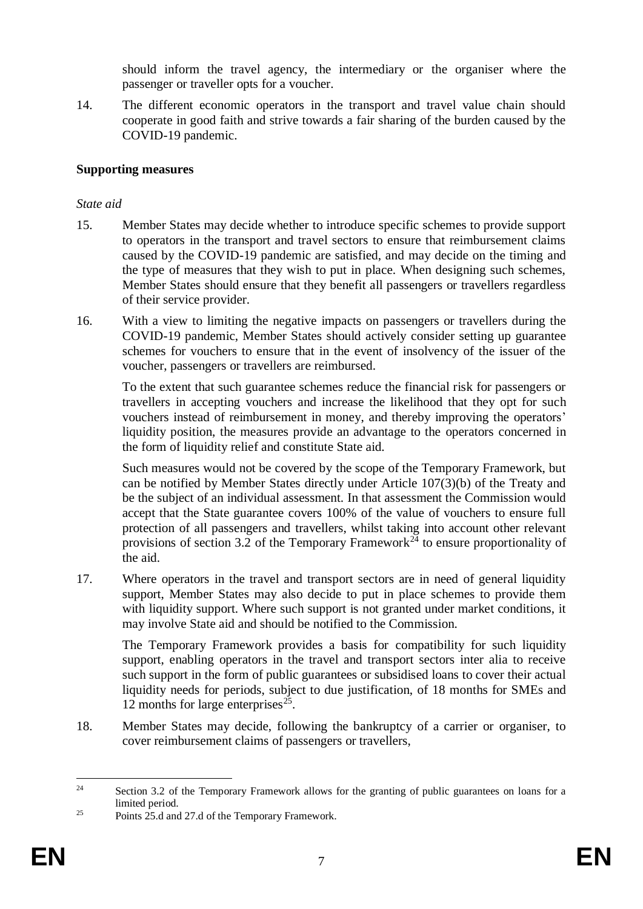should inform the travel agency, the intermediary or the organiser where the passenger or traveller opts for a voucher.

14. The different economic operators in the transport and travel value chain should cooperate in good faith and strive towards a fair sharing of the burden caused by the COVID-19 pandemic.

## **Supporting measures**

## *State aid*

- 15. Member States may decide whether to introduce specific schemes to provide support to operators in the transport and travel sectors to ensure that reimbursement claims caused by the COVID-19 pandemic are satisfied, and may decide on the timing and the type of measures that they wish to put in place. When designing such schemes, Member States should ensure that they benefit all passengers or travellers regardless of their service provider.
- 16. With a view to limiting the negative impacts on passengers or travellers during the COVID-19 pandemic, Member States should actively consider setting up guarantee schemes for vouchers to ensure that in the event of insolvency of the issuer of the voucher, passengers or travellers are reimbursed.

To the extent that such guarantee schemes reduce the financial risk for passengers or travellers in accepting vouchers and increase the likelihood that they opt for such vouchers instead of reimbursement in money, and thereby improving the operators' liquidity position, the measures provide an advantage to the operators concerned in the form of liquidity relief and constitute State aid.

Such measures would not be covered by the scope of the Temporary Framework, but can be notified by Member States directly under Article 107(3)(b) of the Treaty and be the subject of an individual assessment. In that assessment the Commission would accept that the State guarantee covers 100% of the value of vouchers to ensure full protection of all passengers and travellers, whilst taking into account other relevant provisions of section  $3.\overline{2}$  of the Temporary Framework<sup> $\overline{24}$ </sup> to ensure proportionality of the aid.

17. Where operators in the travel and transport sectors are in need of general liquidity support, Member States may also decide to put in place schemes to provide them with liquidity support. Where such support is not granted under market conditions, it may involve State aid and should be notified to the Commission.

The Temporary Framework provides a basis for compatibility for such liquidity support, enabling operators in the travel and transport sectors inter alia to receive such support in the form of public guarantees or subsidised loans to cover their actual liquidity needs for periods, subject to due justification, of 18 months for SMEs and 12 months for large enterprises $^{25}$ .

18. Member States may decide, following the bankruptcy of a carrier or organiser, to cover reimbursement claims of passengers or travellers,

 $\overline{24}$ Section 3.2 of the Temporary Framework allows for the granting of public guarantees on loans for a limited period.

 $25$  Points 25.d and 27.d of the Temporary Framework.